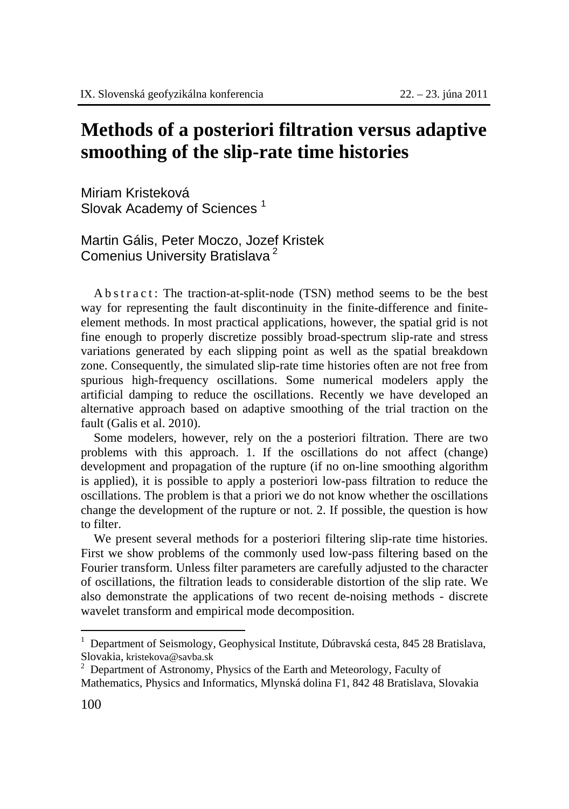## **Methods of a posteriori filtration versus adaptive smoothing of the slip-rate time histories**

Miriam Kristeková Slovak Academy of Sciences<sup>1</sup>

Martin Gális, Peter Moczo, Jozef Kristek Comenius University Bratislava 2

A b s t r a c t : The traction-at-split-node (TSN) method seems to be the best way for representing the fault discontinuity in the finite-difference and finiteelement methods. In most practical applications, however, the spatial grid is not fine enough to properly discretize possibly broad-spectrum slip-rate and stress variations generated by each slipping point as well as the spatial breakdown zone. Consequently, the simulated slip-rate time histories often are not free from spurious high-frequency oscillations. Some numerical modelers apply the artificial damping to reduce the oscillations. Recently we have developed an alternative approach based on adaptive smoothing of the trial traction on the fault (Galis et al. 2010).

Some modelers, however, rely on the a posteriori filtration. There are two problems with this approach. 1. If the oscillations do not affect (change) development and propagation of the rupture (if no on-line smoothing algorithm is applied), it is possible to apply a posteriori low-pass filtration to reduce the oscillations. The problem is that a priori we do not know whether the oscillations change the development of the rupture or not. 2. If possible, the question is how to filter.

We present several methods for a posteriori filtering slip-rate time histories. First we show problems of the commonly used low-pass filtering based on the Fourier transform. Unless filter parameters are carefully adjusted to the character of oscillations, the filtration leads to considerable distortion of the slip rate. We also demonstrate the applications of two recent de-noising methods - discrete wavelet transform and empirical mode decomposition.

 $\overline{a}$ 

<sup>1</sup> Department of Seismology, Geophysical Institute, Dúbravská cesta, 845 28 Bratislava, Slovakia, kristekova@savba.sk <sup>2</sup>

 $2$  Department of Astronomy, Physics of the Earth and Meteorology, Faculty of Mathematics, Physics and Informatics, Mlynská dolina F1, 842 48 Bratislava, Slovakia